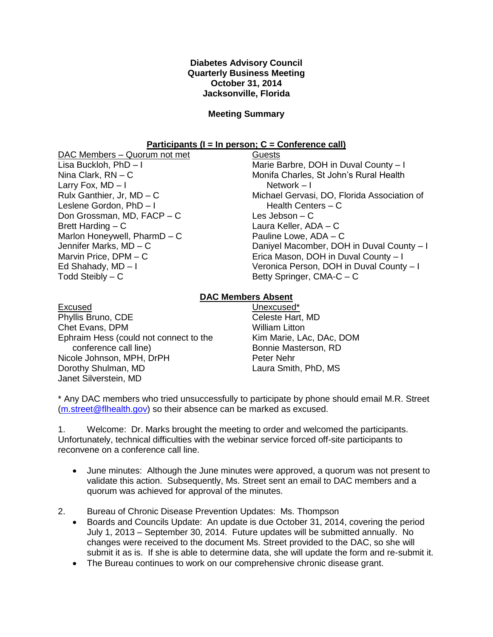## **Diabetes Advisory Council Quarterly Business Meeting October 31, 2014 Jacksonville, Florida**

## **Meeting Summary**

## **Participants (I = In person; C = Conference call)**

DAC Members – Quorum not met Lisa Buckloh, PhD – I Nina Clark, RN – C Larry Fox,  $MD - I$ Rulx Ganthier, Jr, MD – C Leslene Gordon, PhD – I Don Grossman, MD, FACP – C Brett Harding – C Marlon Honeywell, PharmD – C Jennifer Marks, MD – C Marvin Price, DPM – C Ed Shahady, MD – I Todd Steibly – C

**Guests** Marie Barbre, DOH in Duval County – I Monifa Charles, St John's Rural Health Network – I Michael Gervasi, DO, Florida Association of Health Centers – C Les Jebson – C Laura Keller, ADA – C Pauline Lowe, ADA – C Daniyel Macomber, DOH in Duval County – I Erica Mason, DOH in Duval County – I Veronica Person, DOH in Duval County – I Betty Springer, CMA-C – C

## **DAC Members Absent**

| Excused                                |  |
|----------------------------------------|--|
| Phyllis Bruno, CDE                     |  |
| Chet Evans, DPM                        |  |
| Ephraim Hess (could not connect to the |  |
| conference call line)                  |  |
| Nicole Johnson, MPH, DrPH              |  |
| Dorothy Shulman, MD                    |  |
| Janet Silverstein, MD                  |  |

Unexcused\* Celeste Hart, MD William Litton Kim Marie, LAc, DAc, DOM Bonnie Masterson, RD Peter Nehr Laura Smith, PhD, MS

\* Any DAC members who tried unsuccessfully to participate by phone should email M.R. Street [\(m.street@flhealth.gov\)](mailto:m.street@flhealth.gov) so their absence can be marked as excused.

1. Welcome: Dr. Marks brought the meeting to order and welcomed the participants. Unfortunately, technical difficulties with the webinar service forced off-site participants to reconvene on a conference call line.

 June minutes: Although the June minutes were approved, a quorum was not present to validate this action. Subsequently, Ms. Street sent an email to DAC members and a quorum was achieved for approval of the minutes.

2. Bureau of Chronic Disease Prevention Updates: Ms. Thompson

- Boards and Councils Update: An update is due October 31, 2014, covering the period July 1, 2013 – September 30, 2014. Future updates will be submitted annually. No changes were received to the document Ms. Street provided to the DAC, so she will submit it as is. If she is able to determine data, she will update the form and re-submit it.
- The Bureau continues to work on our comprehensive chronic disease grant.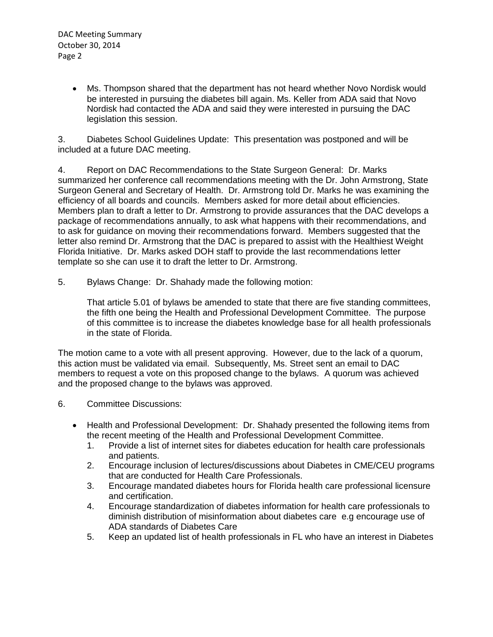Ms. Thompson shared that the department has not heard whether Novo Nordisk would be interested in pursuing the diabetes bill again. Ms. Keller from ADA said that Novo Nordisk had contacted the ADA and said they were interested in pursuing the DAC legislation this session.

3. Diabetes School Guidelines Update: This presentation was postponed and will be included at a future DAC meeting.

4. Report on DAC Recommendations to the State Surgeon General: Dr. Marks summarized her conference call recommendations meeting with the Dr. John Armstrong, State Surgeon General and Secretary of Health. Dr. Armstrong told Dr. Marks he was examining the efficiency of all boards and councils. Members asked for more detail about efficiencies. Members plan to draft a letter to Dr. Armstrong to provide assurances that the DAC develops a package of recommendations annually, to ask what happens with their recommendations, and to ask for guidance on moving their recommendations forward. Members suggested that the letter also remind Dr. Armstrong that the DAC is prepared to assist with the Healthiest Weight Florida Initiative. Dr. Marks asked DOH staff to provide the last recommendations letter template so she can use it to draft the letter to Dr. Armstrong.

5. Bylaws Change: Dr. Shahady made the following motion:

That article 5.01 of bylaws be amended to state that there are five standing committees, the fifth one being the Health and Professional Development Committee. The purpose of this committee is to increase the diabetes knowledge base for all health professionals in the state of Florida.

The motion came to a vote with all present approving. However, due to the lack of a quorum, this action must be validated via email. Subsequently, Ms. Street sent an email to DAC members to request a vote on this proposed change to the bylaws. A quorum was achieved and the proposed change to the bylaws was approved.

- 6. Committee Discussions:
	- Health and Professional Development: Dr. Shahady presented the following items from the recent meeting of the Health and Professional Development Committee.
		- 1. Provide a list of internet sites for diabetes education for health care professionals and patients.
		- 2. Encourage inclusion of lectures/discussions about Diabetes in CME/CEU programs that are conducted for Health Care Professionals.
		- 3. Encourage mandated diabetes hours for Florida health care professional licensure and certification.
		- 4. Encourage standardization of diabetes information for health care professionals to diminish distribution of misinformation about diabetes care e.g encourage use of ADA standards of Diabetes Care
		- 5. Keep an updated list of health professionals in FL who have an interest in Diabetes